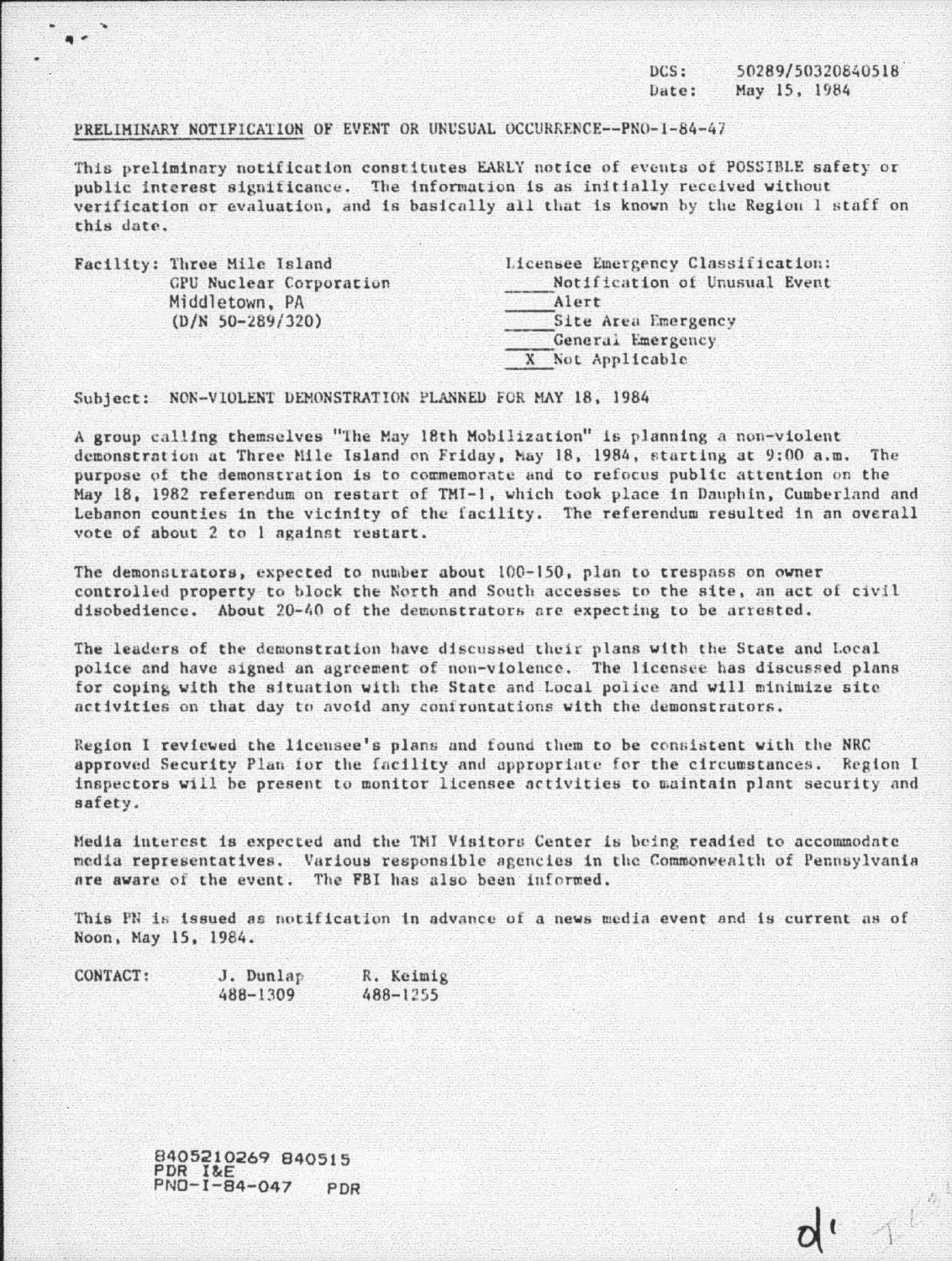$DCS:$ 50289/50320840518 Date: May 15, 1984

 $d^{\prime}$  1

## PRELIMINARY NOTIFICATION OF EVENT OR UNUSUAL OCCURRENCE--PNO-1-84-47

This preliminary notification constitutes EARLY notice of events of POSSIBLE safety or public interest significance. The information is as initially received without verification or evaluation, and is basically all that is known by the Region 1 staff on this date.

| Facility: Three Mile Island | Licensee Emergency Classification: |  |  |  |  |
|-----------------------------|------------------------------------|--|--|--|--|
| GPU Nuclear Corporation     | Notification of Unusual Event      |  |  |  |  |
| Middletown, PA              | Alert                              |  |  |  |  |
| $(D/N 50-289/320)$          | Site Area Emergency                |  |  |  |  |
|                             | General Emergency                  |  |  |  |  |
|                             | X Not Applicable                   |  |  |  |  |

Subject: NON-VIOLENT DEMONSTRATION PLANNED FOR MAY 18, 1984

A group calling themselves "The May 18th Mobilization" is planning a non-violent demonstration at Three Mile Island on Friday, May 18, 1984, starting at 9:00 a.m. The purpose of the demonstration is to commemorate and to refocus public attention on the May 18, 1982 referendum on restart of TMI-1, which took place in Dauphin, Cumberland and Lebanon counties in the vicinity of the facility. The referendum resulted in an overall vote of about 2 to 1 against restart.

The demonstrators, expected to number about 100-150, plan to trespass on owner controlled property to block the North and South accesses to the site, an act of civil disobedience. About 20-40 of the demonstrators are expecting to be arrested.

The leaders of the demonstration have discussed their plans with the State and Local police and have signed an agreement of non-violence. The licensee has discussed plans for coping with the situation with the State and Local police and will minimize site activities on that day to avoid any confrontations with the demonstrators.

Region I reviewed the licensee's plans and found them to be consistent with the NRC approved Security Plan for the facility and appropriate for the circumstances. Region I inspectors will be present to monitor licensee activities to maintain plant security and safety.

Media interest is expected and the TMI Visitors Center is being readied to accommodate media representatives. Various responsible agencies in the Commonwealth of Pennsylvania are aware of the event. The FBI has also been informed.

This PN is issued as notification in advance of a news media event and is current as of Noon, May 15, 1984.

| CONTACT: | J. Dunlap | R. Keimig    |
|----------|-----------|--------------|
|          | 488-1309  | $488 - 1255$ |

8405210269 840515 PDR I&E<br>PNO-I-84-047 PDR